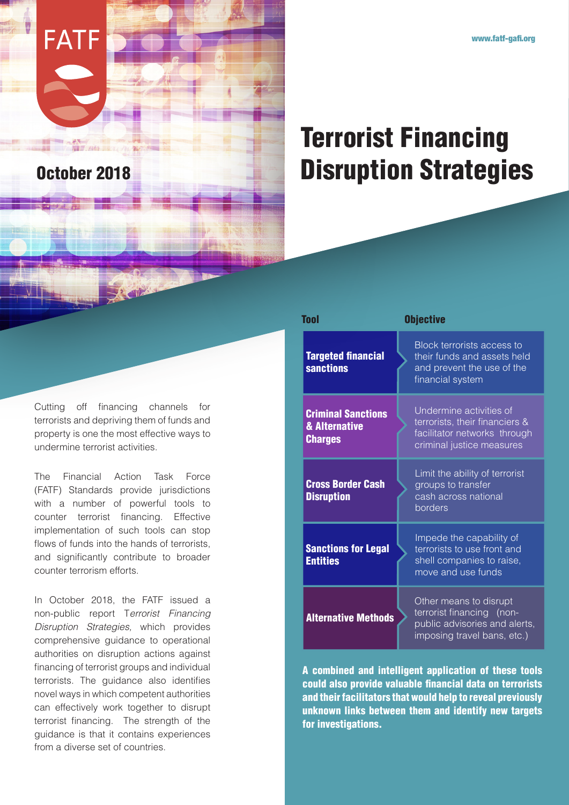## Terrorist Financing October 2018 **Disruption Strategies**

Cutting off financing channels for terrorists and depriving them of funds and property is one the most effective ways to undermine terrorist activities.

**FATF** 

The Financial Action Task Force (FATF) Standards provide jurisdictions with a number of powerful tools to counter terrorist financing. Effective implementation of such tools can stop flows of funds into the hands of terrorists, and significantly contribute to broader counter terrorism efforts.

In October 2018, the FATF issued a non-public report T*errorist Financing Disruption Strategies,* which provides comprehensive guidance to operational authorities on disruption actions against financing of terrorist groups and individual terrorists. The guidance also identifies novel ways in which competent authorities can effectively work together to disrupt terrorist financing. The strength of the guidance is that it contains experiences from a diverse set of countries.

| Tool                                                         | <b>Objective</b>                                                                                                       |
|--------------------------------------------------------------|------------------------------------------------------------------------------------------------------------------------|
| <b>Targeted financial</b><br><b>sanctions</b>                | Block terrorists access to<br>their funds and assets held<br>and prevent the use of the<br>financial system            |
| <b>Criminal Sanctions</b><br>& Alternative<br><b>Charges</b> | Undermine activities of<br>terrorists, their financiers &<br>facilitator networks through<br>criminal justice measures |
| <b>Cross Border Cash</b><br><b>Disruption</b>                | Limit the ability of terrorist<br>groups to transfer<br>cash across national<br>borders                                |
| <b>Sanctions for Legal</b><br><b>Entities</b>                | Impede the capability of<br>terrorists to use front and<br>shell companies to raise,<br>move and use funds             |
| <b>Alternative Methods</b>                                   | Other means to disrupt<br>terrorist financing (non-<br>public advisories and alerts,<br>imposing travel bans, etc.)    |

A combined and intelligent application of these tools could also provide valuable financial data on terrorists and their facilitators that would help to reveal previously unknown links between them and identify new targets for investigations.